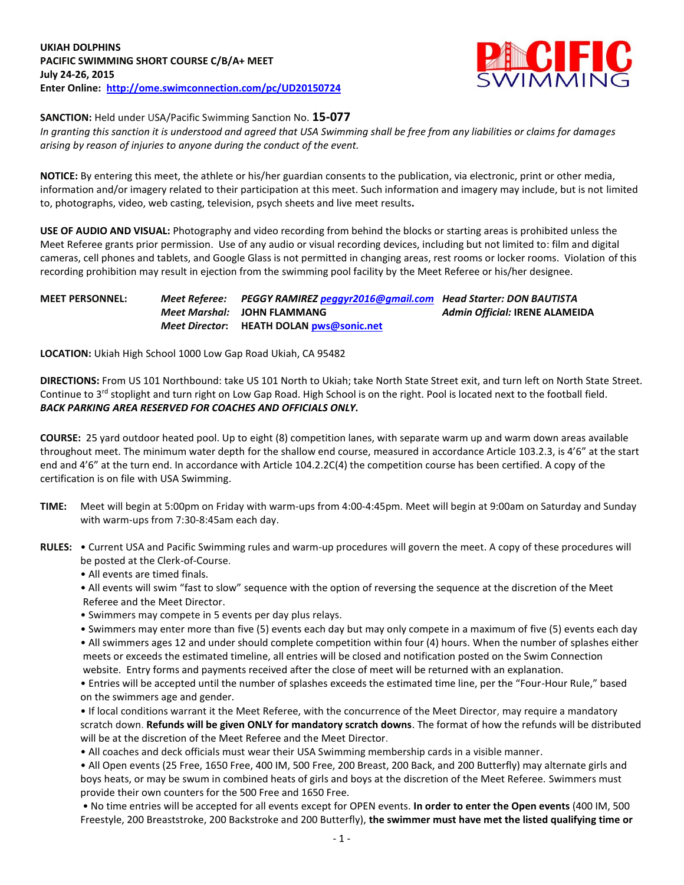

**SANCTION:** Held under USA/Pacific Swimming Sanction No. **15-077**

*In granting this sanction it is understood and agreed that USA Swimming shall be free from any liabilities or claims for damages arising by reason of injuries to anyone during the conduct of the event.*

**NOTICE:** By entering this meet, the athlete or his/her guardian consents to the publication, via electronic, print or other media, information and/or imagery related to their participation at this meet. Such information and imagery may include, but is not limited to, photographs, video, web casting, television, psych sheets and live meet results**.**

**USE OF AUDIO AND VISUAL:** Photography and video recording from behind the blocks or starting areas is prohibited unless the Meet Referee grants prior permission. Use of any audio or visual recording devices, including but not limited to: film and digital cameras, cell phones and tablets, and Google Glass is not permitted in changing areas, rest rooms or locker rooms. Violation of this recording prohibition may result in ejection from the swimming pool facility by the Meet Referee or his/her designee.

# **MEET PERSONNEL:** *Meet Referee: PEGGY RAMIREZ [peggyr2016@gmail.com](mailto:peggyr2016@gmail.com) Head Starter: DON BAUTISTA Meet Marshal:* **JOHN FLAMMANG** *Admin Official:* **IRENE ALAMEIDA** *Meet Director***: HEATH DOLAN [pws@sonic.net](mailto:pws@sonic.net)**

**LOCATION:** Ukiah High School 1000 Low Gap Road Ukiah, CA 95482

**DIRECTIONS:** From US 101 Northbound: take US 101 North to Ukiah; take North State Street exit, and turn left on North State Street. Continue to  $3<sup>rd</sup>$  stoplight and turn right on Low Gap Road. High School is on the right. Pool is located next to the football field. *BACK PARKING AREA RESERVED FOR COACHES AND OFFICIALS ONLY.*

**COURSE:** 25 yard outdoor heated pool. Up to eight (8) competition lanes, with separate warm up and warm down areas available throughout meet. The minimum water depth for the shallow end course, measured in accordance Article 103.2.3, is 4'6" at the start end and 4'6" at the turn end. In accordance with Article 104.2.2C(4) the competition course has been certified. A copy of the certification is on file with USA Swimming.

- **TIME:** Meet will begin at 5:00pm on Friday with warm-ups from 4:00-4:45pm. Meet will begin at 9:00am on Saturday and Sunday with warm-ups from 7:30-8:45am each day.
- **RULES:** Current USA and Pacific Swimming rules and warm-up procedures will govern the meet. A copy of these procedures will be posted at the Clerk-of-Course.
	- All events are timed finals.

• All events will swim "fast to slow" sequence with the option of reversing the sequence at the discretion of the Meet Referee and the Meet Director.

- Swimmers may compete in 5 events per day plus relays.
- Swimmers may enter more than five (5) events each day but may only compete in a maximum of five (5) events each day

• All swimmers ages 12 and under should complete competition within four (4) hours. When the number of splashes either meets or exceeds the estimated timeline, all entries will be closed and notification posted on the Swim Connection website. Entry forms and payments received after the close of meet will be returned with an explanation.

• Entries will be accepted until the number of splashes exceeds the estimated time line, per the "Four-Hour Rule," based on the swimmers age and gender.

• If local conditions warrant it the Meet Referee, with the concurrence of the Meet Director, may require a mandatory scratch down. **Refunds will be given ONLY for mandatory scratch downs**. The format of how the refunds will be distributed will be at the discretion of the Meet Referee and the Meet Director.

• All coaches and deck officials must wear their USA Swimming membership cards in a visible manner.

• All Open events (25 Free, 1650 Free, 400 IM, 500 Free, 200 Breast, 200 Back, and 200 Butterfly) may alternate girls and boys heats, or may be swum in combined heats of girls and boys at the discretion of the Meet Referee. Swimmers must provide their own counters for the 500 Free and 1650 Free.

• No time entries will be accepted for all events except for OPEN events. **In order to enter the Open events** (400 IM, 500 Freestyle, 200 Breaststroke, 200 Backstroke and 200 Butterfly), **the swimmer must have met the listed qualifying time or**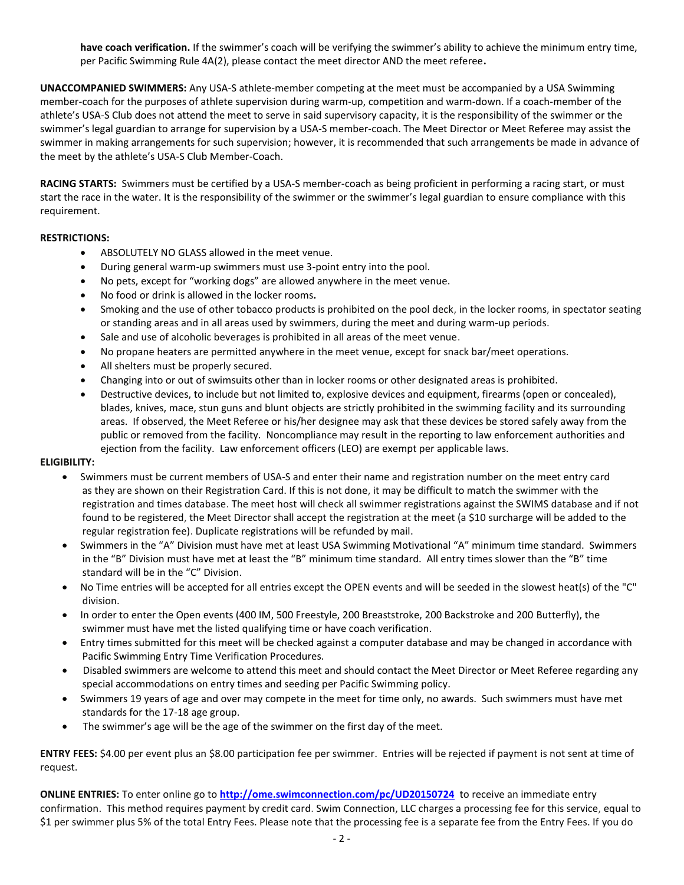**have coach verification.** If the swimmer's coach will be verifying the swimmer's ability to achieve the minimum entry time, per Pacific Swimming Rule 4A(2), please contact the meet director AND the meet referee**.**

**UNACCOMPANIED SWIMMERS:** Any USA-S athlete-member competing at the meet must be accompanied by a USA Swimming member-coach for the purposes of athlete supervision during warm-up, competition and warm-down. If a coach-member of the athlete's USA-S Club does not attend the meet to serve in said supervisory capacity, it is the responsibility of the swimmer or the swimmer's legal guardian to arrange for supervision by a USA-S member-coach. The Meet Director or Meet Referee may assist the swimmer in making arrangements for such supervision; however, it is recommended that such arrangements be made in advance of the meet by the athlete's USA-S Club Member-Coach.

**RACING STARTS:** Swimmers must be certified by a USA-S member-coach as being proficient in performing a racing start, or must start the race in the water. It is the responsibility of the swimmer or the swimmer's legal guardian to ensure compliance with this requirement.

### **RESTRICTIONS:**

- ABSOLUTELY NO GLASS allowed in the meet venue.
- During general warm-up swimmers must use 3-point entry into the pool.
- No pets, except for "working dogs" are allowed anywhere in the meet venue.
- No food or drink is allowed in the locker rooms**.**
- Smoking and the use of other tobacco products is prohibited on the pool deck, in the locker rooms, in spectator seating or standing areas and in all areas used by swimmers, during the meet and during warm-up periods.
- Sale and use of alcoholic beverages is prohibited in all areas of the meet venue.
- No propane heaters are permitted anywhere in the meet venue, except for snack bar/meet operations.
- All shelters must be properly secured.
- Changing into or out of swimsuits other than in locker rooms or other designated areas is prohibited.
- Destructive devices, to include but not limited to, explosive devices and equipment, firearms (open or concealed), blades, knives, mace, stun guns and blunt objects are strictly prohibited in the swimming facility and its surrounding areas. If observed, the Meet Referee or his/her designee may ask that these devices be stored safely away from the public or removed from the facility. Noncompliance may result in the reporting to law enforcement authorities and ejection from the facility. Law enforcement officers (LEO) are exempt per applicable laws.

# **ELIGIBILITY:**

- Swimmers must be current members of USA-S and enter their name and registration number on the meet entry card as they are shown on their Registration Card. If this is not done, it may be difficult to match the swimmer with the registration and times database. The meet host will check all swimmer registrations against the SWIMS database and if not found to be registered, the Meet Director shall accept the registration at the meet (a \$10 surcharge will be added to the regular registration fee). Duplicate registrations will be refunded by mail.
- Swimmers in the "A" Division must have met at least USA Swimming Motivational "A" minimum time standard. Swimmers in the "B" Division must have met at least the "B" minimum time standard. All entry times slower than the "B" time standard will be in the "C" Division.
- No Time entries will be accepted for all entries except the OPEN events and will be seeded in the slowest heat(s) of the "C" division.
- In order to enter the Open events (400 IM, 500 Freestyle, 200 Breaststroke, 200 Backstroke and 200 Butterfly), the swimmer must have met the listed qualifying time or have coach verification.
- Entry times submitted for this meet will be checked against a computer database and may be changed in accordance with Pacific Swimming Entry Time Verification Procedures.
- Disabled swimmers are welcome to attend this meet and should contact the Meet Director or Meet Referee regarding any special accommodations on entry times and seeding per Pacific Swimming policy.
- Swimmers 19 years of age and over may compete in the meet for time only, no awards. Such swimmers must have met standards for the 17-18 age group.
- The swimmer's age will be the age of the swimmer on the first day of the meet.

**ENTRY FEES:** \$4.00 per event plus an \$8.00 participation fee per swimmer. Entries will be rejected if payment is not sent at time of request.

**ONLINE ENTRIES:** To enter online go to **<http://ome.swimconnection.com/pc/UD20150724>** to receive an immediate entry confirmation. This method requires payment by credit card. Swim Connection, LLC charges a processing fee for this service, equal to \$1 per swimmer plus 5% of the total Entry Fees. Please note that the processing fee is a separate fee from the Entry Fees. If you do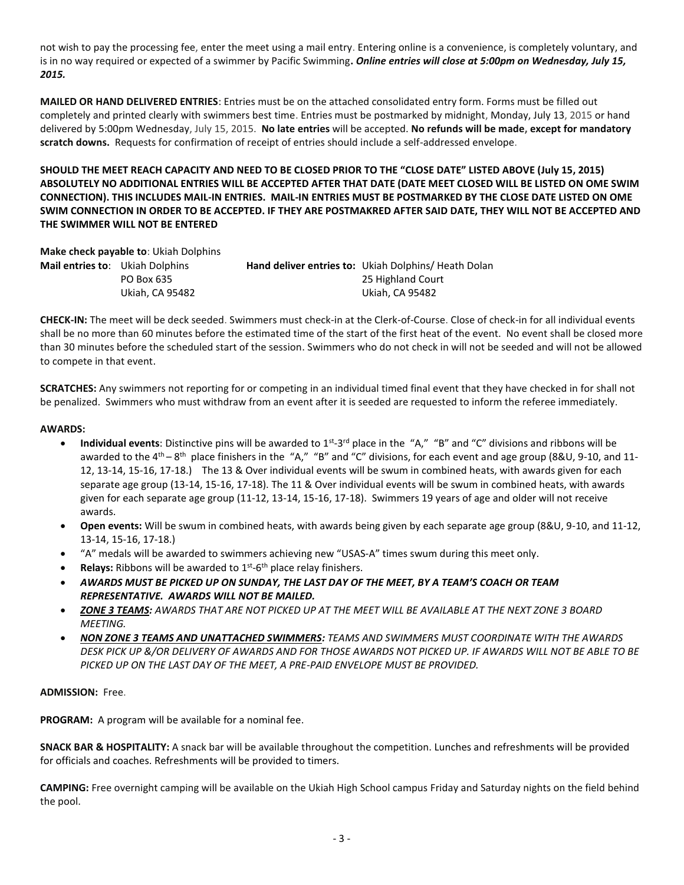not wish to pay the processing fee, enter the meet using a mail entry. Entering online is a convenience, is completely voluntary, and is in no way required or expected of a swimmer by Pacific Swimming**.** *Online entries will close at 5:00pm on Wednesday, July 15, 2015.* 

**MAILED OR HAND DELIVERED ENTRIES**: Entries must be on the attached consolidated entry form. Forms must be filled out completely and printed clearly with swimmers best time. Entries must be postmarked by midnight, Monday, July 13, 2015 or hand delivered by 5:00pm Wednesday, July 15, 2015. **No late entries** will be accepted. **No refunds will be made, except for mandatory scratch downs.** Requests for confirmation of receipt of entries should include a self-addressed envelope.

**SHOULD THE MEET REACH CAPACITY AND NEED TO BE CLOSED PRIOR TO THE "CLOSE DATE" LISTED ABOVE (July 15, 2015) ABSOLUTELY NO ADDITIONAL ENTRIES WILL BE ACCEPTED AFTER THAT DATE (DATE MEET CLOSED WILL BE LISTED ON OME SWIM CONNECTION). THIS INCLUDES MAIL-IN ENTRIES. MAIL-IN ENTRIES MUST BE POSTMARKED BY THE CLOSE DATE LISTED ON OME SWIM CONNECTION IN ORDER TO BE ACCEPTED. IF THEY ARE POSTMAKRED AFTER SAID DATE, THEY WILL NOT BE ACCEPTED AND THE SWIMMER WILL NOT BE ENTERED**

|                                        | <b>Make check payable to: Ukiah Dolphins</b> |                                                     |
|----------------------------------------|----------------------------------------------|-----------------------------------------------------|
| <b>Mail entries to:</b> Ukiah Dolphins |                                              | Hand deliver entries to: Ukiah Dolphins/Heath Dolan |
|                                        | PO Box 635                                   | 25 Highland Court                                   |
|                                        | Ukiah. CA 95482                              | Ukiah. CA 95482                                     |

**CHECK-IN:** The meet will be deck seeded. Swimmers must check-in at the Clerk-of-Course. Close of check-in for all individual events shall be no more than 60 minutes before the estimated time of the start of the first heat of the event. No event shall be closed more than 30 minutes before the scheduled start of the session. Swimmers who do not check in will not be seeded and will not be allowed to compete in that event.

**SCRATCHES:** Any swimmers not reporting for or competing in an individual timed final event that they have checked in for shall not be penalized. Swimmers who must withdraw from an event after it is seeded are requested to inform the referee immediately.

### **AWARDS:**

- Individual events: Distinctive pins will be awarded to 1<sup>st</sup>-3<sup>rd</sup> place in the "A," "B" and "C" divisions and ribbons will be awarded to the 4<sup>th</sup> – 8<sup>th</sup> place finishers in the "A," "B" and "C" divisions, for each event and age group (8&U, 9-10, and 11-12, 13-14, 15-16, 17-18.) The 13 & Over individual events will be swum in combined heats, with awards given for each separate age group (13-14, 15-16, 17-18). The 11 & Over individual events will be swum in combined heats, with awards given for each separate age group (11-12, 13-14, 15-16, 17-18). Swimmers 19 years of age and older will not receive awards.
- **Open events:** Will be swum in combined heats, with awards being given by each separate age group (8&U, 9-10, and 11-12, 13-14, 15-16, 17-18.)
- "A" medals will be awarded to swimmers achieving new "USAS-A" times swum during this meet only.
- **Relays:** Ribbons will be awarded to 1<sup>st</sup>-6<sup>th</sup> place relay finishers.
- *AWARDS MUST BE PICKED UP ON SUNDAY, THE LAST DAY OF THE MEET, BY A TEAM'S COACH OR TEAM REPRESENTATIVE. AWARDS WILL NOT BE MAILED.*
- *ZONE 3 TEAMS: AWARDS THAT ARE NOT PICKED UP AT THE MEET WILL BE AVAILABLE AT THE NEXT ZONE 3 BOARD MEETING.*
- *NON ZONE 3 TEAMS AND UNATTACHED SWIMMERS: TEAMS AND SWIMMERS MUST COORDINATE WITH THE AWARDS DESK PICK UP &/OR DELIVERY OF AWARDS AND FOR THOSE AWARDS NOT PICKED UP. IF AWARDS WILL NOT BE ABLE TO BE PICKED UP ON THE LAST DAY OF THE MEET, A PRE-PAID ENVELOPE MUST BE PROVIDED.*

### **ADMISSION:** Free.

**PROGRAM:** A program will be available for a nominal fee.

**SNACK BAR & HOSPITALITY:** A snack bar will be available throughout the competition. Lunches and refreshments will be provided for officials and coaches. Refreshments will be provided to timers.

**CAMPING:** Free overnight camping will be available on the Ukiah High School campus Friday and Saturday nights on the field behind the pool.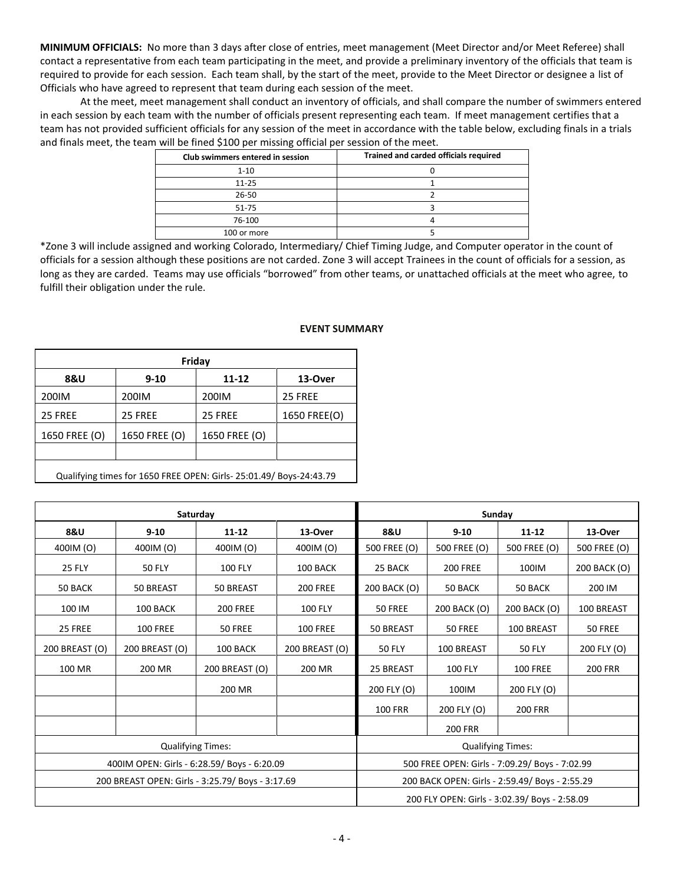**MINIMUM OFFICIALS:** No more than 3 days after close of entries, meet management (Meet Director and/or Meet Referee) shall contact a representative from each team participating in the meet, and provide a preliminary inventory of the officials that team is required to provide for each session. Each team shall, by the start of the meet, provide to the Meet Director or designee a list of Officials who have agreed to represent that team during each session of the meet.

At the meet, meet management shall conduct an inventory of officials, and shall compare the number of swimmers entered in each session by each team with the number of officials present representing each team. If meet management certifies that a team has not provided sufficient officials for any session of the meet in accordance with the table below, excluding finals in a trials and finals meet, the team will be fined \$100 per missing official per session of the meet.

| Club swimmers entered in session | Trained and carded officials required |
|----------------------------------|---------------------------------------|
| $1 - 10$                         |                                       |
| $11 - 25$                        |                                       |
| 26-50                            |                                       |
| 51-75                            |                                       |
| 76-100                           |                                       |
| 100 or more                      |                                       |

\*Zone 3 will include assigned and working Colorado, Intermediary/ Chief Timing Judge, and Computer operator in the count of officials for a session although these positions are not carded. Zone 3 will accept Trainees in the count of officials for a session, as long as they are carded. Teams may use officials "borrowed" from other teams, or unattached officials at the meet who agree, to fulfill their obligation under the rule.

| Friday         |               |               |              |  |  |  |  |  |  |  |
|----------------|---------------|---------------|--------------|--|--|--|--|--|--|--|
| <b>8&amp;U</b> | $9 - 10$      | $11 - 12$     | 13-Over      |  |  |  |  |  |  |  |
| 200IM          | 200IM         | 200IM         | 25 FREE      |  |  |  |  |  |  |  |
| 25 FREE        | 25 FREE       | 25 FREE       | 1650 FREE(O) |  |  |  |  |  |  |  |
| 1650 FREE (O)  | 1650 FREE (O) | 1650 FREE (O) |              |  |  |  |  |  |  |  |
|                |               |               |              |  |  |  |  |  |  |  |
|                |               |               |              |  |  |  |  |  |  |  |

#### **EVENT SUMMARY**

Qualifying times for 1650 FREE OPEN: Girls- 25:01.49/ Boys-24:43.79

|                |                                                  | Saturday                 | Sunday                                         |                                                |                                               |                 |                |  |
|----------------|--------------------------------------------------|--------------------------|------------------------------------------------|------------------------------------------------|-----------------------------------------------|-----------------|----------------|--|
| 8&U            | $9 - 10$                                         | 11-12                    | 13-Over                                        | 8&U<br>$9 - 10$                                |                                               | $11 - 12$       | 13-Over        |  |
| 400IM (O)      | 400IM (O)                                        | 400IM (O)                | 400IM (O)                                      | 500 FREE (O)                                   | 500 FREE (O)                                  | 500 FREE (O)    | 500 FREE (O)   |  |
| <b>25 FLY</b>  | <b>50 FLY</b>                                    | <b>100 FLY</b>           | 100 BACK                                       | 25 BACK                                        | <b>200 FREE</b>                               | 100IM           | 200 BACK (O)   |  |
| 50 BACK        | 50 BREAST                                        | 50 BREAST                | <b>200 FREE</b>                                | 200 BACK (O)                                   | 50 BACK                                       | 50 BACK         | 200 IM         |  |
| 100 IM         | 100 BACK                                         | <b>200 FREE</b>          | <b>100 FLY</b>                                 | 50 FREE                                        | 200 BACK (O)                                  | 200 BACK (O)    | 100 BREAST     |  |
| 25 FREE        | <b>100 FREE</b>                                  | 50 FREE                  | <b>100 FREE</b>                                | 50 BREAST                                      | 50 FREE                                       | 100 BREAST      | 50 FREE        |  |
| 200 BREAST (O) | 200 BREAST (O)                                   | 100 BACK                 | 200 BREAST (O)                                 | <b>50 FLY</b>                                  | 100 BREAST                                    | <b>50 FLY</b>   | 200 FLY (O)    |  |
| 100 MR         | 200 MR                                           | 200 BREAST (O)           | 200 MR                                         | 25 BREAST                                      | <b>100 FLY</b>                                | <b>100 FREE</b> | <b>200 FRR</b> |  |
|                |                                                  | 200 MR                   |                                                | 200 FLY (O)                                    | 100IM                                         | 200 FLY (O)     |                |  |
|                |                                                  |                          |                                                | <b>100 FRR</b>                                 | 200 FLY (O)                                   | <b>200 FRR</b>  |                |  |
|                |                                                  |                          |                                                |                                                | <b>200 FRR</b>                                |                 |                |  |
|                |                                                  | <b>Qualifying Times:</b> |                                                | <b>Qualifying Times:</b>                       |                                               |                 |                |  |
|                | 400IM OPEN: Girls - 6:28.59/ Boys - 6:20.09      |                          | 500 FREE OPEN: Girls - 7:09.29/ Boys - 7:02.99 |                                                |                                               |                 |                |  |
|                | 200 BREAST OPEN: Girls - 3:25.79/ Boys - 3:17.69 |                          |                                                | 200 BACK OPEN: Girls - 2:59.49/ Boys - 2:55.29 |                                               |                 |                |  |
|                |                                                  |                          |                                                |                                                | 200 FLY OPEN: Girls - 3:02.39/ Boys - 2:58.09 |                 |                |  |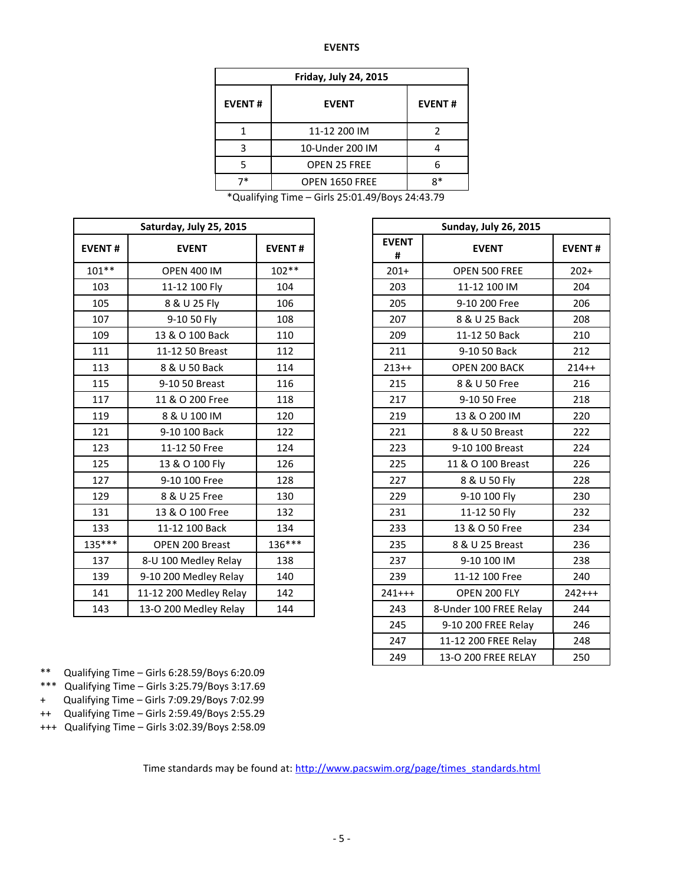#### **EVENTS**

| <b>Friday, July 24, 2015</b> |                     |               |  |  |  |  |  |  |  |
|------------------------------|---------------------|---------------|--|--|--|--|--|--|--|
| <b>EVENT#</b>                | <b>EVENT</b>        | <b>EVENT#</b> |  |  |  |  |  |  |  |
|                              | 11-12 200 IM        | 2             |  |  |  |  |  |  |  |
| 3                            | 10-Under 200 IM     |               |  |  |  |  |  |  |  |
| 5                            | <b>OPEN 25 FREE</b> | հ             |  |  |  |  |  |  |  |
|                              | OPEN 1650 FREE      | Q*            |  |  |  |  |  |  |  |

\*Qualifying Time – Girls 25:01.49/Boys 24:43.79

|               | Saturday, July 25, 2015 |               |                   | <b>Sunday, July 26, 2015</b> |              |
|---------------|-------------------------|---------------|-------------------|------------------------------|--------------|
| <b>EVENT#</b> | <b>EVENT</b>            | <b>EVENT#</b> | <b>EVENT</b><br># | <b>EVENT</b>                 | <b>EVENT</b> |
| $101**$       | <b>OPEN 400 IM</b>      | $102**$       | $201+$            | OPEN 500 FREE                | $202+$       |
| 103           | 11-12 100 Fly           | 104           | 203               | 11-12 100 IM                 |              |
| 105           | 8 & U 25 Fly            | 106           | 205               | 9-10 200 Free                |              |
| 107           | 9-10 50 Fly             | 108           | 207               | 8 & U 25 Back                |              |
| 109           | 13 & O 100 Back         | 110           | 209               | 11-12 50 Back                |              |
| 111           | 11-12 50 Breast         | 112           | 211               | 9-10 50 Back                 |              |
| 113           | 8 & U 50 Back           | 114           | $213++$           | OPEN 200 BACK                | $214++$      |
| 115           | 9-10 50 Breast          | 116           | 215               | 8 & U 50 Free                |              |
| 117           | 11 & O 200 Free         | 118           | 217               | 9-10 50 Free                 |              |
| 119           | 8 & U 100 IM            | 120           | 219               | 13 & O 200 IM                |              |
| 121           | 9-10 100 Back           | 122           | 221               | 8 & U 50 Breast              |              |
| 123           | 11-12 50 Free           | 124           | 223               | 9-10 100 Breast              |              |
| 125           | 13 & O 100 Fly          | 126           | 225               | 11 & O 100 Breast            |              |
| 127           | 9-10 100 Free           | 128           | 227               | 8 & U 50 Fly                 |              |
| 129           | 8 & U 25 Free           | 130           | 229               | 9-10 100 Fly                 |              |
| 131           | 13 & O 100 Free         | 132           | 231               | 11-12 50 Fly                 |              |
| 133           | 11-12 100 Back          | 134           | 233               | 13 & O 50 Free               |              |
| 135***        | OPEN 200 Breast         | 136***        | 235               | 8 & U 25 Breast              |              |
| 137           | 8-U 100 Medley Relay    | 138           | 237               | 9-10 100 IM                  |              |
| 139           | 9-10 200 Medley Relay   | 140           | 239               | 11-12 100 Free               |              |
| 141           | 11-12 200 Medley Relay  | 142           | $241++$           | OPEN 200 FLY                 | $242++-$     |
| 143           | 13-O 200 Medley Relay   | 144           | 243               | 8-Under 100 FREE Relay       |              |

|             | Saturday, July 25, 2015 |               |                   | <b>Sunday, July 26, 2015</b> |                        |               |  |  |
|-------------|-------------------------|---------------|-------------------|------------------------------|------------------------|---------------|--|--|
| <b>ENT#</b> | <b>EVENT</b>            | <b>EVENT#</b> | <b>EVENT</b><br># |                              | <b>EVENT</b>           | <b>EVENT#</b> |  |  |
| $01***$     | <b>OPEN 400 IM</b>      | 102**         | $201+$            |                              | OPEN 500 FREE          | $202+$        |  |  |
| 103         | 11-12 100 Fly           | 104           | 203               |                              | 11-12 100 IM           | 204           |  |  |
| 105         | 8 & U 25 Fly            | 106           | 205               |                              | 9-10 200 Free          | 206           |  |  |
| 107         | 9-10 50 Fly             | 108           | 207               |                              | 8 & U 25 Back          | 208           |  |  |
| 109         | 13 & O 100 Back         | 110           | 209               |                              | 11-12 50 Back          | 210           |  |  |
| 111         | 11-12 50 Breast         | 112           | 211               |                              | 9-10 50 Back           | 212           |  |  |
| 113         | 8 & U 50 Back           | 114           | $213++$           |                              | OPEN 200 BACK          | $214++$       |  |  |
| 115         | 9-10 50 Breast          | 116           | 215               |                              | 8 & U 50 Free          | 216           |  |  |
| 117         | 11 & O 200 Free         | 118           | 217               |                              | 9-10 50 Free           | 218           |  |  |
| 119         | 8 & U 100 IM            | 120           | 219               |                              | 13 & O 200 IM          | 220           |  |  |
| 121         | 9-10 100 Back           | 122           | 221               |                              | 8 & U 50 Breast        | 222           |  |  |
| 123         | 11-12 50 Free           | 124           | 223               |                              | 9-10 100 Breast        | 224           |  |  |
| 125         | 13 & O 100 Fly          | 126           | 225               |                              | 11 & O 100 Breast      | 226           |  |  |
| 127         | 9-10 100 Free           | 128           | 227               |                              | 8 & U 50 Fly           | 228           |  |  |
| 129         | 8 & U 25 Free           | 130           | 229               |                              | 9-10 100 Fly           | 230           |  |  |
| 131         | 13 & O 100 Free         | 132           | 231               |                              | 11-12 50 Fly           | 232           |  |  |
| 133         | 11-12 100 Back          | 134           | 233               |                              | 13 & O 50 Free         | 234           |  |  |
| $35***$     | OPEN 200 Breast         | 136***        | 235               |                              | 8 & U 25 Breast        | 236           |  |  |
| 137         | 8-U 100 Medley Relay    | 138           | 237               |                              | 9-10 100 IM            | 238           |  |  |
| 139         | 9-10 200 Medley Relay   | 140           | 239               |                              | 11-12 100 Free         | 240           |  |  |
| 141         | 11-12 200 Medley Relay  | 142           | $241++$           |                              | OPEN 200 FLY           | $242++$       |  |  |
| 143         | 13-O 200 Medley Relay   | 144           | 243               |                              | 8-Under 100 FREE Relay | 244           |  |  |
|             |                         |               | 245               |                              | 9-10 200 FREE Relay    | 246           |  |  |
|             |                         |               | 247               |                              | 11-12 200 FREE Relay   | 248           |  |  |
|             |                         |               | 249               |                              | 13-O 200 FREE RELAY    | 250           |  |  |

\*\* Qualifying Time – Girls 6:28.59/Boys 6:20.09

\*\*\* Qualifying Time – Girls 3:25.79/Boys 3:17.69

+ Qualifying Time – Girls 7:09.29/Boys 7:02.99

++ Qualifying Time – Girls 2:59.49/Boys 2:55.29

+++ Qualifying Time – Girls 3:02.39/Boys 2:58.09

Time standards may be found at: [http://www.pacswim.org/page/times\\_standards.html](http://www.pacswim.org/page/times_standards.html)